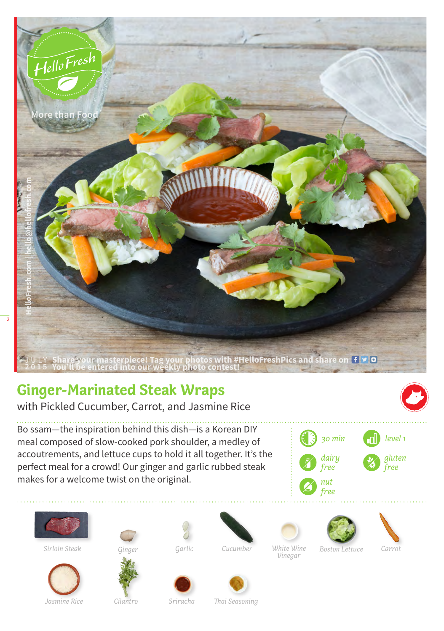

## **Ginger-Marinated Steak Wraps**

with Pickled Cucumber, Carrot, and Jasmine Rice

Bo ssam—the inspiration behind this dish—is a Korean DIY meal composed of slow-cooked pork shoulder, a medley of accoutrements, and lettuce cups to hold it all together. It's the perfect meal for a crowd! Our ginger and garlic rubbed steak makes for a welcome twist on the original.





 $Sirloin Steak$ 





*Garlic Cucumber White Wine Vinegar*



*Carrot*